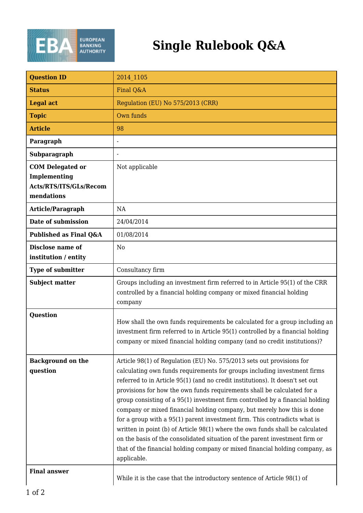

| <b>Question ID</b>                                                              | 2014 1105                                                                                                                                                                                                                                                                                                                                                                                                                                                                                                                                                                                                                                                                                                                                                                                                             |
|---------------------------------------------------------------------------------|-----------------------------------------------------------------------------------------------------------------------------------------------------------------------------------------------------------------------------------------------------------------------------------------------------------------------------------------------------------------------------------------------------------------------------------------------------------------------------------------------------------------------------------------------------------------------------------------------------------------------------------------------------------------------------------------------------------------------------------------------------------------------------------------------------------------------|
| <b>Status</b>                                                                   | Final Q&A                                                                                                                                                                                                                                                                                                                                                                                                                                                                                                                                                                                                                                                                                                                                                                                                             |
| <b>Legal act</b>                                                                | Regulation (EU) No 575/2013 (CRR)                                                                                                                                                                                                                                                                                                                                                                                                                                                                                                                                                                                                                                                                                                                                                                                     |
| <b>Topic</b>                                                                    | Own funds                                                                                                                                                                                                                                                                                                                                                                                                                                                                                                                                                                                                                                                                                                                                                                                                             |
| <b>Article</b>                                                                  | 98                                                                                                                                                                                                                                                                                                                                                                                                                                                                                                                                                                                                                                                                                                                                                                                                                    |
| Paragraph                                                                       |                                                                                                                                                                                                                                                                                                                                                                                                                                                                                                                                                                                                                                                                                                                                                                                                                       |
| Subparagraph                                                                    |                                                                                                                                                                                                                                                                                                                                                                                                                                                                                                                                                                                                                                                                                                                                                                                                                       |
| <b>COM Delegated or</b><br>Implementing<br>Acts/RTS/ITS/GLs/Recom<br>mendations | Not applicable                                                                                                                                                                                                                                                                                                                                                                                                                                                                                                                                                                                                                                                                                                                                                                                                        |
| Article/Paragraph                                                               | NA                                                                                                                                                                                                                                                                                                                                                                                                                                                                                                                                                                                                                                                                                                                                                                                                                    |
| Date of submission                                                              | 24/04/2014                                                                                                                                                                                                                                                                                                                                                                                                                                                                                                                                                                                                                                                                                                                                                                                                            |
| Published as Final Q&A                                                          | 01/08/2014                                                                                                                                                                                                                                                                                                                                                                                                                                                                                                                                                                                                                                                                                                                                                                                                            |
| Disclose name of<br>institution / entity                                        | N <sub>0</sub>                                                                                                                                                                                                                                                                                                                                                                                                                                                                                                                                                                                                                                                                                                                                                                                                        |
| <b>Type of submitter</b>                                                        | Consultancy firm                                                                                                                                                                                                                                                                                                                                                                                                                                                                                                                                                                                                                                                                                                                                                                                                      |
| <b>Subject matter</b>                                                           | Groups including an investment firm referred to in Article 95(1) of the CRR<br>controlled by a financial holding company or mixed financial holding<br>company                                                                                                                                                                                                                                                                                                                                                                                                                                                                                                                                                                                                                                                        |
| <b>Question</b>                                                                 | How shall the own funds requirements be calculated for a group including an<br>investment firm referred to in Article 95(1) controlled by a financial holding<br>company or mixed financial holding company (and no credit institutions)?                                                                                                                                                                                                                                                                                                                                                                                                                                                                                                                                                                             |
| <b>Background on the</b><br>question                                            | Article 98(1) of Regulation (EU) No. 575/2013 sets out provisions for<br>calculating own funds requirements for groups including investment firms<br>referred to in Article 95(1) (and no credit institutions). It doesn't set out<br>provisions for how the own funds requirements shall be calculated for a<br>group consisting of a 95(1) investment firm controlled by a financial holding<br>company or mixed financial holding company, but merely how this is done<br>for a group with a 95(1) parent investment firm. This contradicts what is<br>written in point (b) of Article 98(1) where the own funds shall be calculated<br>on the basis of the consolidated situation of the parent investment firm or<br>that of the financial holding company or mixed financial holding company, as<br>applicable. |
| <b>Final answer</b>                                                             | While it is the case that the introductory sentence of Article 98(1) of                                                                                                                                                                                                                                                                                                                                                                                                                                                                                                                                                                                                                                                                                                                                               |